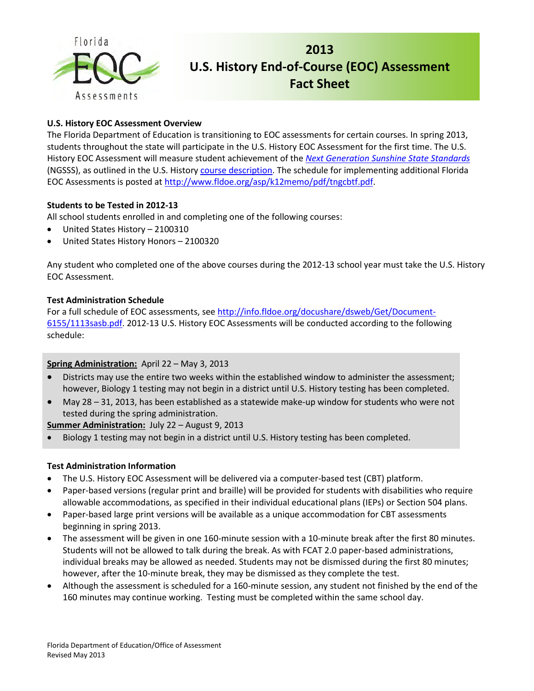

# **2013 U.S. History End-of-Course (EOC) Assessment Fact Sheet**

# **U.S. History EOC Assessment Overview**

The Florida Department of Education is transitioning to EOC assessments for certain courses. In spring 2013, students throughout the state will participate in the U.S. History EOC Assessment for the first time. The U.S. History EOC Assessment will measure student achievement of the *[Next Generation Sunshine State Standards](http://www.floridastandards.org/index.aspx)* (NGSSS), as outlined in the U.S. History [course description.](http://www.cpalms.org/Courses/PublicPreviewCourse1723.aspx?kw=2100310) The schedule for implementing additional Florida EOC Assessments is posted a[t http://www.fldoe.org/asp/k12memo/pdf/tngcbtf.pdf.](http://www.fldoe.org/asp/k12memo/pdf/tngcbtf.pdf)

# **Students to be Tested in 2012-13**

All school students enrolled in and completing one of the following courses:

- United States History 2100310
- United States History Honors 2100320

Any student who completed one of the above courses during the 2012-13 school year must take the U.S. History EOC Assessment.

#### **Test Administration Schedule**

For a full schedule of EOC assessments, se[e http://info.fldoe.org/docushare/dsweb/Get/Document-](http://info.fldoe.org/docushare/dsweb/Get/Document-6155/1113sasb.pdf)[6155/1113sasb.pdf.](http://info.fldoe.org/docushare/dsweb/Get/Document-6155/1113sasb.pdf) 2012-13 U.S. History EOC Assessments will be conducted according to the following schedule:

#### **Spring Administration:** April 22 – May 3, 2013

- Districts may use the entire two weeks within the established window to administer the assessment; however, Biology 1 testing may not begin in a district until U.S. History testing has been completed.
- May 28 31, 2013, has been established as a statewide make-up window for students who were not tested during the spring administration.

**Summer Administration:** July 22 – August 9, 2013

Biology 1 testing may not begin in a district until U.S. History testing has been completed.

#### **Test Administration Information**

- The U.S. History EOC Assessment will be delivered via a computer-based test (CBT) platform.
- Paper-based versions (regular print and braille) will be provided for students with disabilities who require allowable accommodations, as specified in their individual educational plans (IEPs) or Section 504 plans.
- Paper-based large print versions will be available as a unique accommodation for CBT assessments beginning in spring 2013.
- The assessment will be given in one 160-minute session with a 10-minute break after the first 80 minutes. Students will not be allowed to talk during the break. As with FCAT 2.0 paper-based administrations, individual breaks may be allowed as needed. Students may not be dismissed during the first 80 minutes; however, after the 10-minute break, they may be dismissed as they complete the test.
- Although the assessment is scheduled for a 160-minute session, any student not finished by the end of the 160 minutes may continue working. Testing must be completed within the same school day.